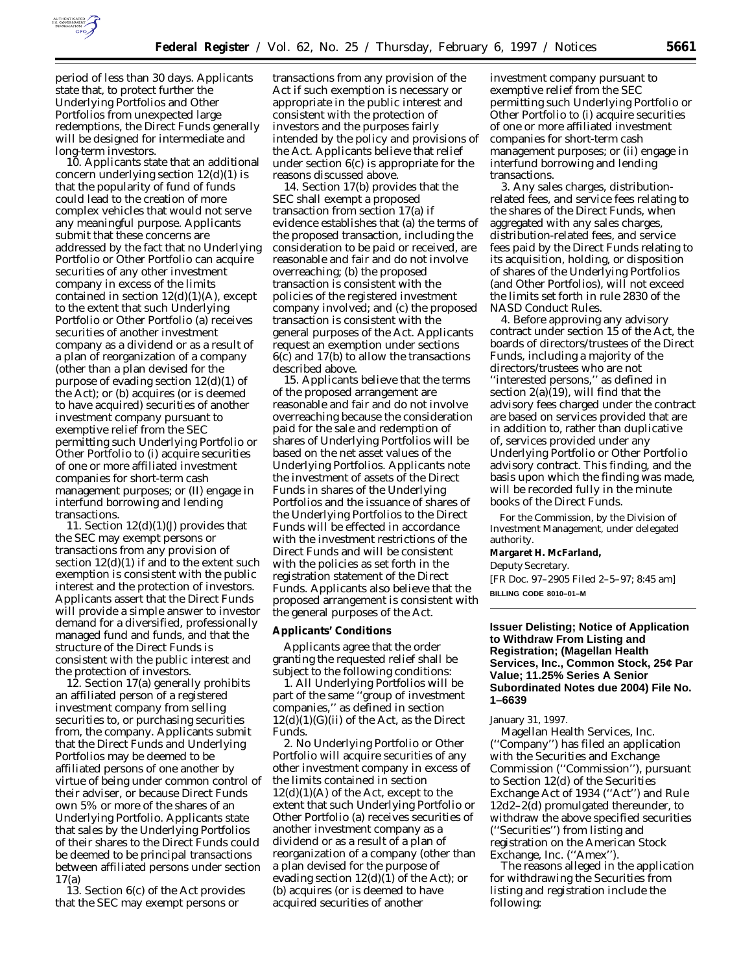

period of less than 30 days. Applicants state that, to protect further the Underlying Portfolios and Other Portfolios from unexpected large redemptions, the Direct Funds generally will be designed for intermediate and long-term investors.

10. Applicants state that an additional concern underlying section 12(d)(1) is that the popularity of fund of funds could lead to the creation of more complex vehicles that would not serve any meaningful purpose. Applicants submit that these concerns are addressed by the fact that no Underlying Portfolio or Other Portfolio can acquire securities of any other investment company in excess of the limits contained in section  $12(d)(1)(A)$ , except to the extent that such Underlying Portfolio or Other Portfolio (a) receives securities of another investment company as a dividend or as a result of a plan of reorganization of a company (other than a plan devised for the purpose of evading section 12(d)(1) of the Act); or (b) acquires (or is deemed to have acquired) securities of another investment company pursuant to exemptive relief from the SEC permitting such Underlying Portfolio or Other Portfolio to (i) acquire securities of one or more affiliated investment companies for short-term cash management purposes; or (II) engage in interfund borrowing and lending transactions.

11. Section  $12(d)(1)(J)$  provides that the SEC may exempt persons or transactions from any provision of section 12(d)(1) if and to the extent such exemption is consistent with the public interest and the protection of investors. Applicants assert that the Direct Funds will provide a simple answer to investor demand for a diversified, professionally managed fund and funds, and that the structure of the Direct Funds is consistent with the public interest and the protection of investors.

12. Section 17(a) generally prohibits an affiliated person of a registered investment company from selling securities to, or purchasing securities from, the company. Applicants submit that the Direct Funds and Underlying Portfolios may be deemed to be affiliated persons of one another by virtue of being under common control of their adviser, or because Direct Funds own 5% or more of the shares of an Underlying Portfolio. Applicants state that sales by the Underlying Portfolios of their shares to the Direct Funds could be deemed to be principal transactions between affiliated persons under section 17(a)

13. Section 6(c) of the Act provides that the SEC may exempt persons or

transactions from any provision of the Act if such exemption is necessary or appropriate in the public interest and consistent with the protection of investors and the purposes fairly intended by the policy and provisions of the Act. Applicants believe that relief under section 6(c) is appropriate for the reasons discussed above.

14. Section 17(b) provides that the SEC shall exempt a proposed transaction from section 17(a) if evidence establishes that (a) the terms of the proposed transaction, including the consideration to be paid or received, are reasonable and fair and do not involve overreaching; (b) the proposed transaction is consistent with the policies of the registered investment company involved; and (c) the proposed transaction is consistent with the general purposes of the Act. Applicants request an exemption under sections 6(c) and 17(b) to allow the transactions described above.

15. Applicants believe that the terms of the proposed arrangement are reasonable and fair and do not involve overreaching because the consideration paid for the sale and redemption of shares of Underlying Portfolios will be based on the net asset values of the Underlying Portfolios. Applicants note the investment of assets of the Direct Funds in shares of the Underlying Portfolios and the issuance of shares of the Underlying Portfolios to the Direct Funds will be effected in accordance with the investment restrictions of the Direct Funds and will be consistent with the policies as set forth in the registration statement of the Direct Funds. Applicants also believe that the proposed arrangement is consistent with the general purposes of the Act.

#### **Applicants' Conditions**

Applicants agree that the order granting the requested relief shall be subject to the following conditions:

1. All Underlying Portfolios will be part of the same ''group of investment companies,'' as defined in section  $12(d)(1)(G)(ii)$  of the Act, as the Direct Funds.

2. No Underlying Portfolio or Other Portfolio will acquire securities of any other investment company in excess of the limits contained in section  $12(d)(1)(A)$  of the Act, except to the extent that such Underlying Portfolio or Other Portfolio (a) receives securities of another investment company as a dividend or as a result of a plan of reorganization of a company (other than a plan devised for the purpose of evading section 12(d)(1) of the Act); or (b) acquires (or is deemed to have acquired securities of another

investment company pursuant to exemptive relief from the SEC permitting such Underlying Portfolio or Other Portfolio to (i) acquire securities of one or more affiliated investment companies for short-term cash management purposes; or (ii) engage in interfund borrowing and lending transactions.

3. Any sales charges, distributionrelated fees, and service fees relating to the shares of the Direct Funds, when aggregated with any sales charges, distribution-related fees, and service fees paid by the Direct Funds relating to its acquisition, holding, or disposition of shares of the Underlying Portfolios (and Other Portfolios), will not exceed the limits set forth in rule 2830 of the NASD Conduct Rules.

4. Before approving any advisory contract under section 15 of the Act, the boards of directors/trustees of the Direct Funds, including a majority of the directors/trustees who are not ''interested persons,'' as defined in section 2(a)(19), will find that the advisory fees charged under the contract are based on services provided that are in addition to, rather than duplicative of, services provided under any Underlying Portfolio or Other Portfolio advisory contract. This finding, and the basis upon which the finding was made, will be recorded fully in the minute books of the Direct Funds.

For the Commission, by the Division of Investment Management, under delegated authority.

**Margaret H. McFarland,**

*Deputy Secretary.*

[FR Doc. 97–2905 Filed 2–5–97; 8:45 am] **BILLING CODE 8010–01–M**

### **Issuer Delisting; Notice of Application to Withdraw From Listing and Registration; (Magellan Health Services, Inc., Common Stock, 25¢ Par Value; 11.25% Series A Senior Subordinated Notes due 2004) File No. 1–6639**

January 31, 1997.

Magellan Health Services, Inc. (''Company'') has filed an application with the Securities and Exchange Commission (''Commission''), pursuant to Section 12(d) of the Securities Exchange Act of 1934 (''Act'') and Rule 12d2–2(d) promulgated thereunder, to withdraw the above specified securities (''Securities'') from listing and registration on the American Stock Exchange, Inc. (''Amex'').

The reasons alleged in the application for withdrawing the Securities from listing and registration include the following: